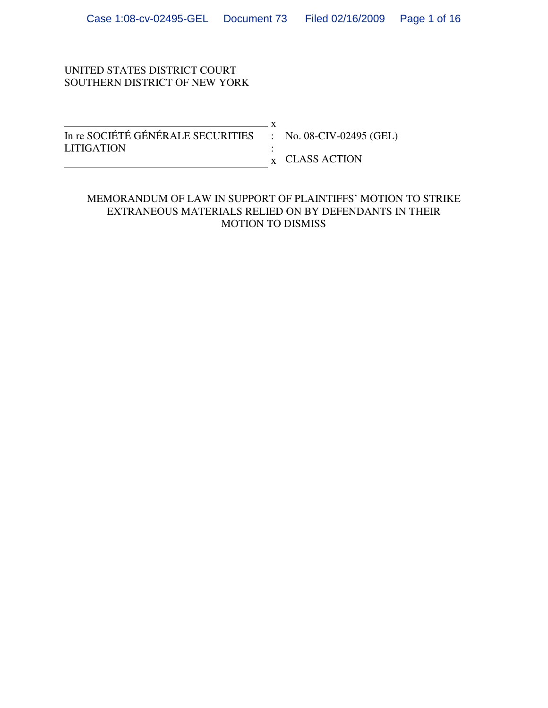## UNITED STATES DISTRICT COURT SOUTHERN DISTRICT OF NEW YORK

| In re SOCIÉTÉ GÉNÉRALE SECURITIES : No. 08-CIV-02495 (GEL) |                        |
|------------------------------------------------------------|------------------------|
| <b>LITIGATION</b>                                          |                        |
|                                                            | $\bar{x}$ CLASS ACTION |

## MEMORANDUM OF LAW IN SUPPORT OF PLAINTIFFS' MOTION TO STRIKE EXTRANEOUS MATERIALS RELIED ON BY DEFENDANTS IN THEIR MOTION TO DISMISS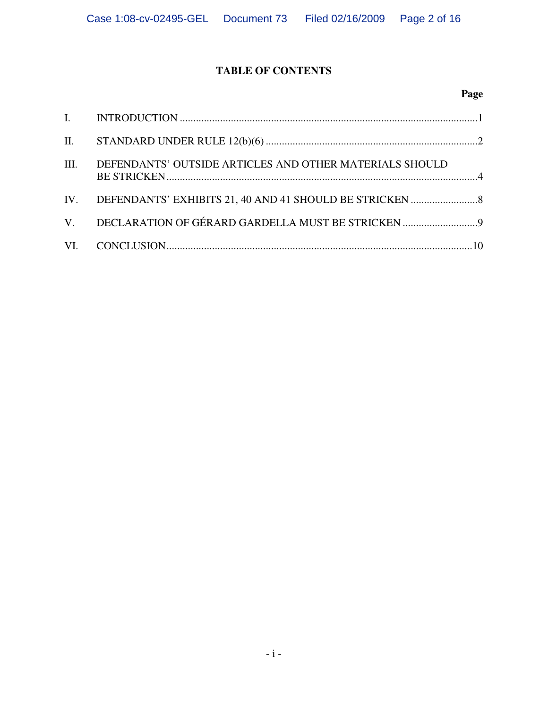# **TABLE OF CONTENTS**

# **Page**

| III. | DEFENDANTS' OUTSIDE ARTICLES AND OTHER MATERIALS SHOULD |  |
|------|---------------------------------------------------------|--|
|      |                                                         |  |
|      | V. DECLARATION OF GÉRARD GARDELLA MUST BE STRICKEN      |  |
|      |                                                         |  |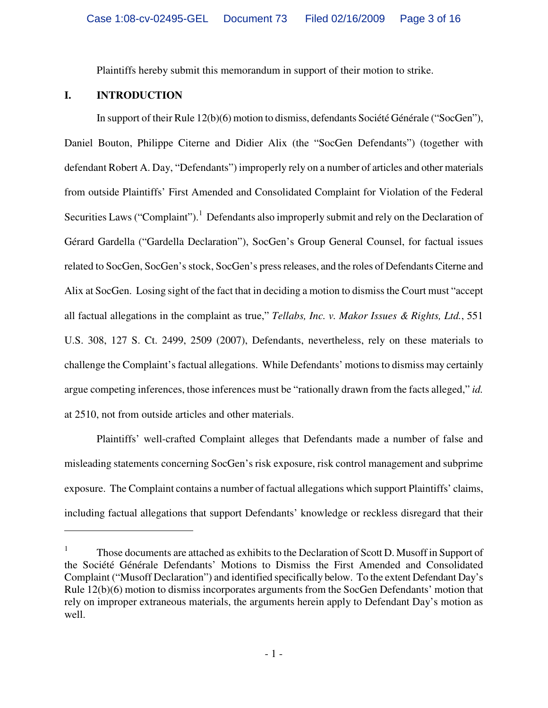Plaintiffs hereby submit this memorandum in support of their motion to strike.

## **I. INTRODUCTION**

1

In support of their Rule 12(b)(6) motion to dismiss, defendants Société Générale ("SocGen"), Daniel Bouton, Philippe Citerne and Didier Alix (the "SocGen Defendants") (together with defendant Robert A. Day, "Defendants") improperly rely on a number of articles and other materials from outside Plaintiffs' First Amended and Consolidated Complaint for Violation of the Federal Securities Laws ("Complaint").<sup>1</sup> Defendants also improperly submit and rely on the Declaration of Gérard Gardella ("Gardella Declaration"), SocGen's Group General Counsel, for factual issues related to SocGen, SocGen's stock, SocGen's press releases, and the roles of Defendants Citerne and Alix at SocGen. Losing sight of the fact that in deciding a motion to dismiss the Court must "accept all factual allegations in the complaint as true," *Tellabs, Inc. v. Makor Issues & Rights, Ltd.*, 551 U.S. 308, 127 S. Ct. 2499, 2509 (2007), Defendants, nevertheless, rely on these materials to challenge the Complaint's factual allegations. While Defendants' motions to dismiss may certainly argue competing inferences, those inferences must be "rationally drawn from the facts alleged," *id.* at 2510, not from outside articles and other materials.

Plaintiffs' well-crafted Complaint alleges that Defendants made a number of false and misleading statements concerning SocGen's risk exposure, risk control management and subprime exposure. The Complaint contains a number of factual allegations which support Plaintiffs' claims, including factual allegations that support Defendants' knowledge or reckless disregard that their

<sup>1</sup> Those documents are attached as exhibits to the Declaration of Scott D. Musoff in Support of the Société Générale Defendants' Motions to Dismiss the First Amended and Consolidated Complaint ("Musoff Declaration") and identified specifically below. To the extent Defendant Day's Rule 12(b)(6) motion to dismiss incorporates arguments from the SocGen Defendants' motion that rely on improper extraneous materials, the arguments herein apply to Defendant Day's motion as well.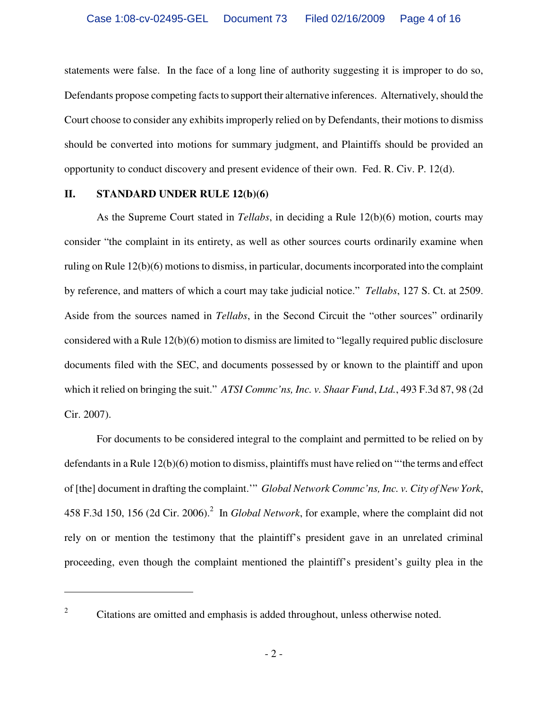statements were false. In the face of a long line of authority suggesting it is improper to do so, Defendants propose competing facts to support their alternative inferences. Alternatively, should the Court choose to consider any exhibits improperly relied on by Defendants, their motions to dismiss should be converted into motions for summary judgment, and Plaintiffs should be provided an opportunity to conduct discovery and present evidence of their own. Fed. R. Civ. P. 12(d).

### **II. STANDARD UNDER RULE 12(b)(6)**

1

As the Supreme Court stated in *Tellabs*, in deciding a Rule 12(b)(6) motion, courts may consider "the complaint in its entirety, as well as other sources courts ordinarily examine when ruling on Rule 12(b)(6) motions to dismiss, in particular, documents incorporated into the complaint by reference, and matters of which a court may take judicial notice." *Tellabs*, 127 S. Ct. at 2509. Aside from the sources named in *Tellabs*, in the Second Circuit the "other sources" ordinarily considered with a Rule 12(b)(6) motion to dismiss are limited to "legally required public disclosure documents filed with the SEC, and documents possessed by or known to the plaintiff and upon which it relied on bringing the suit." *ATSI Commc'ns, Inc. v. Shaar Fund*, *Ltd.*, 493 F.3d 87, 98 (2d Cir. 2007).

For documents to be considered integral to the complaint and permitted to be relied on by defendants in a Rule 12(b)(6) motion to dismiss, plaintiffs must have relied on "'the terms and effect of [the] document in drafting the complaint.'" *Global Network Commc'ns, Inc. v. City of New York*, 458 F.3d 150, 156 (2d Cir. 2006).<sup>2</sup> In *Global Network*, for example, where the complaint did not rely on or mention the testimony that the plaintiff's president gave in an unrelated criminal proceeding, even though the complaint mentioned the plaintiff's president's guilty plea in the

<sup>2</sup> Citations are omitted and emphasis is added throughout, unless otherwise noted.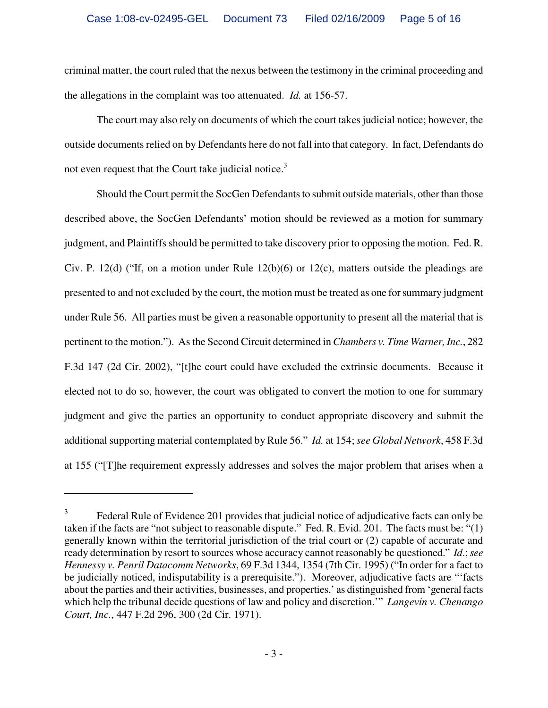criminal matter, the court ruled that the nexus between the testimony in the criminal proceeding and the allegations in the complaint was too attenuated. *Id.* at 156-57.

The court may also rely on documents of which the court takes judicial notice; however, the outside documents relied on by Defendants here do not fall into that category. In fact, Defendants do not even request that the Court take judicial notice.<sup>3</sup>

Should the Court permit the SocGen Defendants to submit outside materials, other than those described above, the SocGen Defendants' motion should be reviewed as a motion for summary judgment, and Plaintiffs should be permitted to take discovery prior to opposing the motion. Fed. R. Civ. P. 12(d) ("If, on a motion under Rule 12(b)(6) or 12(c), matters outside the pleadings are presented to and not excluded by the court, the motion must be treated as one for summary judgment under Rule 56. All parties must be given a reasonable opportunity to present all the material that is pertinent to the motion."). As the Second Circuit determined in *Chambers v. Time Warner, Inc.*, 282 F.3d 147 (2d Cir. 2002), "[t]he court could have excluded the extrinsic documents. Because it elected not to do so, however, the court was obligated to convert the motion to one for summary judgment and give the parties an opportunity to conduct appropriate discovery and submit the additional supporting material contemplated by Rule 56." *Id.* at 154; *see Global Network*, 458 F.3d at 155 ("[T]he requirement expressly addresses and solves the major problem that arises when a

<u>.</u>

<sup>3</sup> Federal Rule of Evidence 201 provides that judicial notice of adjudicative facts can only be taken if the facts are "not subject to reasonable dispute." Fed. R. Evid. 201. The facts must be: "(1) generally known within the territorial jurisdiction of the trial court or (2) capable of accurate and ready determination by resort to sources whose accuracy cannot reasonably be questioned." *Id*.; *see Hennessy v. Penril Datacomm Networks*, 69 F.3d 1344, 1354 (7th Cir. 1995) ("In order for a fact to be judicially noticed, indisputability is a prerequisite."). Moreover, adjudicative facts are "'facts about the parties and their activities, businesses, and properties,' as distinguished from 'general facts which help the tribunal decide questions of law and policy and discretion.'" *Langevin v. Chenango Court, Inc.*, 447 F.2d 296, 300 (2d Cir. 1971).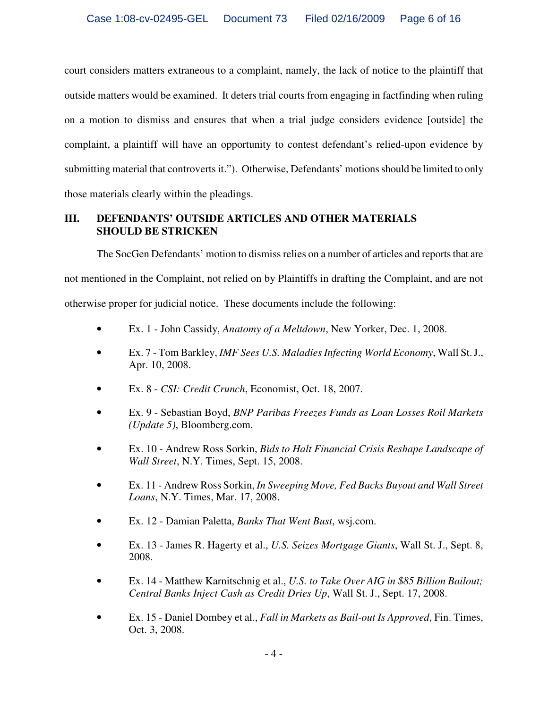court considers matters extraneous to a complaint, namely, the lack of notice to the plaintiff that outside matters would be examined. It deters trial courts from engaging in factfinding when ruling on a motion to dismiss and ensures that when a trial judge considers evidence [outside] the complaint, a plaintiff will have an opportunity to contest defendant's relied-upon evidence by submitting material that controverts it."). Otherwise, Defendants' motions should be limited to only those materials clearly within the pleadings.

## **III. DEFENDANTS' OUTSIDE ARTICLES AND OTHER MATERIALS SHOULD BE STRICKEN**

The SocGen Defendants' motion to dismiss relies on a number of articles and reports that are not mentioned in the Complaint, not relied on by Plaintiffs in drafting the Complaint, and are not otherwise proper for judicial notice. These documents include the following:

- Ex. 1 John Cassidy, *Anatomy of a Meltdown*, New Yorker, Dec. 1, 2008.
- Ex. 7 Tom Barkley, *IMF Sees U.S. Maladies Infecting World Economy*, Wall St. J., Apr. 10, 2008.
- Ex. 8 *CSI: Credit Crunch*, Economist, Oct. 18, 2007.
- Ex. 9 Sebastian Boyd, *BNP Paribas Freezes Funds as Loan Losses Roil Markets (Update 5)*, Bloomberg.com.
- Ex. 10 Andrew Ross Sorkin, *Bids to Halt Financial Crisis Reshape Landscape of Wall Street*, N.Y. Times, Sept. 15, 2008.
- Ex. 11 Andrew Ross Sorkin, *In Sweeping Move, Fed Backs Buyout and Wall Street Loans*, N.Y. Times, Mar. 17, 2008.
- Ex. 12 Damian Paletta, *Banks That Went Bust*, wsj.com.
- Ex. 13 James R. Hagerty et al., *U.S. Seizes Mortgage Giants*, Wall St. J., Sept. 8, 2008.
- Ex. 14 Matthew Karnitschnig et al., *U.S. to Take Over AIG in \$85 Billion Bailout; Central Banks Inject Cash as Credit Dries Up*, Wall St. J., Sept. 17, 2008.
- Ex. 15 Daniel Dombey et al., *Fall in Markets as Bail-out Is Approved*, Fin. Times, Oct. 3, 2008.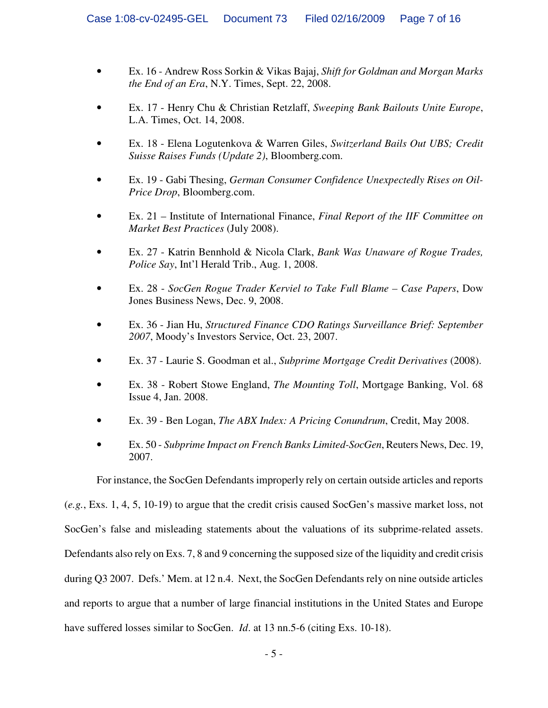- Ex. 16 Andrew Ross Sorkin & Vikas Bajaj, *Shift for Goldman and Morgan Marks the End of an Era*, N.Y. Times, Sept. 22, 2008.
- Ex. 17 Henry Chu & Christian Retzlaff, *Sweeping Bank Bailouts Unite Europe*, L.A. Times, Oct. 14, 2008.
- Ex. 18 Elena Logutenkova & Warren Giles, *Switzerland Bails Out UBS; Credit Suisse Raises Funds (Update 2)*, Bloomberg.com.
- Ex. 19 Gabi Thesing, *German Consumer Confidence Unexpectedly Rises on Oil-Price Drop*, Bloomberg.com.
- Ex. 21 Institute of International Finance, *Final Report of the IIF Committee on Market Best Practices* (July 2008).
- Ex. 27 Katrin Bennhold & Nicola Clark, *Bank Was Unaware of Rogue Trades, Police Say*, Int'l Herald Trib., Aug. 1, 2008.
- Ex. 28 *SocGen Rogue Trader Kerviel to Take Full Blame Case Papers*, Dow Jones Business News, Dec. 9, 2008.
- Ex. 36 Jian Hu, *Structured Finance CDO Ratings Surveillance Brief: September 2007*, Moody's Investors Service, Oct. 23, 2007.
- Ex. 37 Laurie S. Goodman et al., *Subprime Mortgage Credit Derivatives* (2008).
- Ex. 38 Robert Stowe England, *The Mounting Toll*, Mortgage Banking, Vol. 68 Issue 4, Jan. 2008.
- Ex. 39 Ben Logan, *The ABX Index: A Pricing Conundrum*, Credit, May 2008.
- Ex. 50 *Subprime Impact on French Banks Limited-SocGen*, Reuters News, Dec. 19, 2007.

For instance, the SocGen Defendants improperly rely on certain outside articles and reports

(*e.g.*, Exs. 1, 4, 5, 10-19) to argue that the credit crisis caused SocGen's massive market loss, not SocGen's false and misleading statements about the valuations of its subprime-related assets. Defendants also rely on Exs. 7, 8 and 9 concerning the supposed size of the liquidity and credit crisis during Q3 2007. Defs.' Mem. at 12 n.4. Next, the SocGen Defendants rely on nine outside articles and reports to argue that a number of large financial institutions in the United States and Europe have suffered losses similar to SocGen. *Id.* at 13 nn.5-6 (citing Exs. 10-18).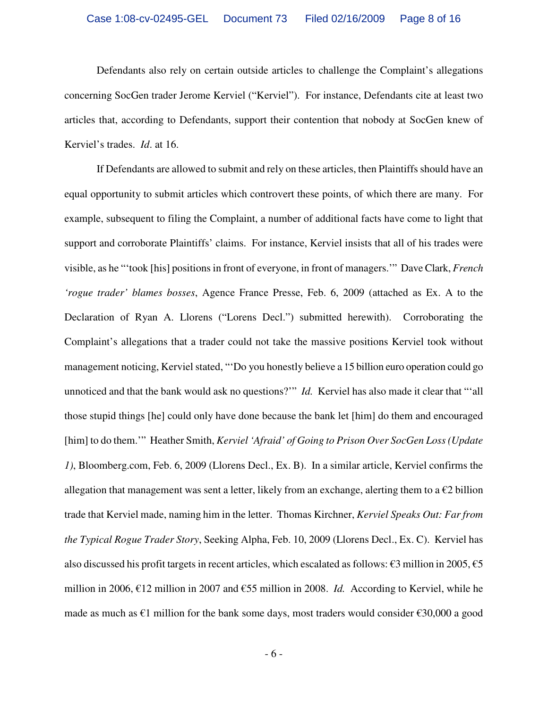Defendants also rely on certain outside articles to challenge the Complaint's allegations concerning SocGen trader Jerome Kerviel ("Kerviel"). For instance, Defendants cite at least two articles that, according to Defendants, support their contention that nobody at SocGen knew of Kerviel's trades. *Id*. at 16.

If Defendants are allowed to submit and rely on these articles, then Plaintiffs should have an equal opportunity to submit articles which controvert these points, of which there are many. For example, subsequent to filing the Complaint, a number of additional facts have come to light that support and corroborate Plaintiffs' claims. For instance, Kerviel insists that all of his trades were visible, as he "'took [his] positions in front of everyone, in front of managers.'" Dave Clark, *French 'rogue trader' blames bosses*, Agence France Presse, Feb. 6, 2009 (attached as Ex. A to the Declaration of Ryan A. Llorens ("Lorens Decl.") submitted herewith). Corroborating the Complaint's allegations that a trader could not take the massive positions Kerviel took without management noticing, Kerviel stated, "'Do you honestly believe a 15 billion euro operation could go unnoticed and that the bank would ask no questions?" *Id.* Kerviel has also made it clear that "'all those stupid things [he] could only have done because the bank let [him] do them and encouraged [him] to do them.'" Heather Smith, *Kerviel 'Afraid' of Going to Prison Over SocGen Loss (Update 1)*, Bloomberg.com, Feb. 6, 2009 (Llorens Decl., Ex. B). In a similar article, Kerviel confirms the allegation that management was sent a letter, likely from an exchange, alerting them to a  $\epsilon$ 2 billion trade that Kerviel made, naming him in the letter. Thomas Kirchner, *Kerviel Speaks Out: Far from the Typical Rogue Trader Story*, Seeking Alpha, Feb. 10, 2009 (Llorens Decl., Ex. C). Kerviel has also discussed his profit targets in recent articles, which escalated as follows:  $\epsilon$ 3 million in 2005,  $\epsilon$ 5 million in 2006, €12 million in 2007 and €55 million in 2008. *Id.* According to Kerviel, while he made as much as  $\epsilon$ 1 million for the bank some days, most traders would consider  $\epsilon$ 30,000 a good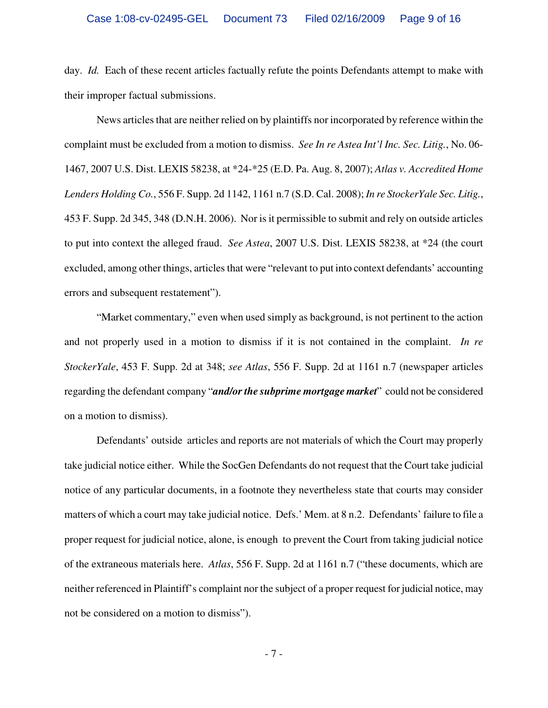day. *Id.* Each of these recent articles factually refute the points Defendants attempt to make with their improper factual submissions.

News articles that are neither relied on by plaintiffs nor incorporated by reference within the complaint must be excluded from a motion to dismiss. *See In re Astea Int'l Inc. Sec. Litig.*, No. 06- 1467, 2007 U.S. Dist. LEXIS 58238, at \*24-\*25 (E.D. Pa. Aug. 8, 2007); *Atlas v. Accredited Home Lenders Holding Co.*, 556 F. Supp. 2d 1142, 1161 n.7 (S.D. Cal. 2008); *In re StockerYale Sec. Litig.*, 453 F. Supp. 2d 345, 348 (D.N.H. 2006). Nor is it permissible to submit and rely on outside articles to put into context the alleged fraud. *See Astea*, 2007 U.S. Dist. LEXIS 58238, at \*24 (the court excluded, among other things, articles that were "relevant to put into context defendants' accounting errors and subsequent restatement").

"Market commentary," even when used simply as background, is not pertinent to the action and not properly used in a motion to dismiss if it is not contained in the complaint. *In re StockerYale*, 453 F. Supp. 2d at 348; *see Atlas*, 556 F. Supp. 2d at 1161 n.7 (newspaper articles regarding the defendant company "*and/or the subprime mortgage market*" could not be considered on a motion to dismiss).

Defendants' outside articles and reports are not materials of which the Court may properly take judicial notice either. While the SocGen Defendants do not request that the Court take judicial notice of any particular documents, in a footnote they nevertheless state that courts may consider matters of which a court may take judicial notice. Defs.' Mem. at 8 n.2. Defendants' failure to file a proper request for judicial notice, alone, is enough to prevent the Court from taking judicial notice of the extraneous materials here. *Atlas*, 556 F. Supp. 2d at 1161 n.7 ("these documents, which are neither referenced in Plaintiff's complaint nor the subject of a proper request for judicial notice, may not be considered on a motion to dismiss").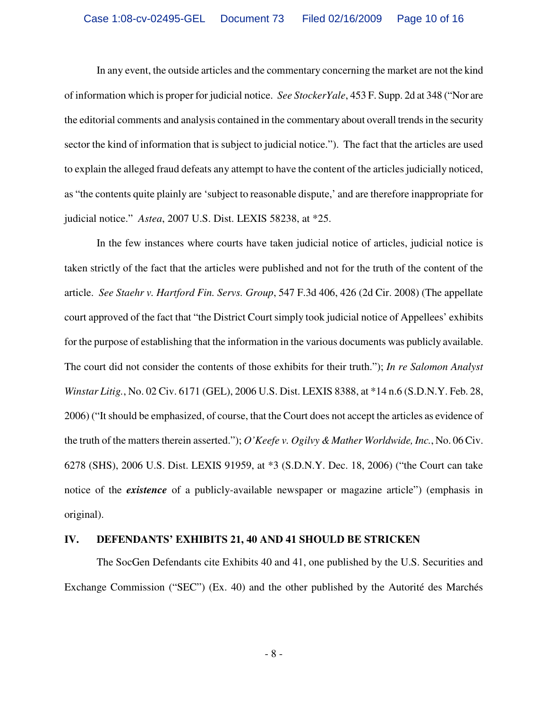In any event, the outside articles and the commentary concerning the market are not the kind of information which is proper for judicial notice. *See StockerYale*, 453 F. Supp. 2d at 348 ("Nor are the editorial comments and analysis contained in the commentary about overall trends in the security sector the kind of information that is subject to judicial notice."). The fact that the articles are used to explain the alleged fraud defeats any attempt to have the content of the articles judicially noticed, as "the contents quite plainly are 'subject to reasonable dispute,' and are therefore inappropriate for judicial notice." *Astea*, 2007 U.S. Dist. LEXIS 58238, at \*25.

In the few instances where courts have taken judicial notice of articles, judicial notice is taken strictly of the fact that the articles were published and not for the truth of the content of the article. *See Staehr v. Hartford Fin. Servs. Group*, 547 F.3d 406, 426 (2d Cir. 2008) (The appellate court approved of the fact that "the District Court simply took judicial notice of Appellees' exhibits for the purpose of establishing that the information in the various documents was publicly available. The court did not consider the contents of those exhibits for their truth."); *In re Salomon Analyst Winstar Litig.*, No. 02 Civ. 6171 (GEL), 2006 U.S. Dist. LEXIS 8388, at \*14 n.6 (S.D.N.Y. Feb. 28, 2006) ("It should be emphasized, of course, that the Court does not accept the articles as evidence of the truth of the matters therein asserted."); *O'Keefe v. Ogilvy & Mather Worldwide, Inc.*, No. 06 Civ. 6278 (SHS), 2006 U.S. Dist. LEXIS 91959, at \*3 (S.D.N.Y. Dec. 18, 2006) ("the Court can take notice of the *existence* of a publicly-available newspaper or magazine article") (emphasis in original).

#### **IV. DEFENDANTS' EXHIBITS 21, 40 AND 41 SHOULD BE STRICKEN**

The SocGen Defendants cite Exhibits 40 and 41, one published by the U.S. Securities and Exchange Commission ("SEC") (Ex. 40) and the other published by the Autorité des Marchés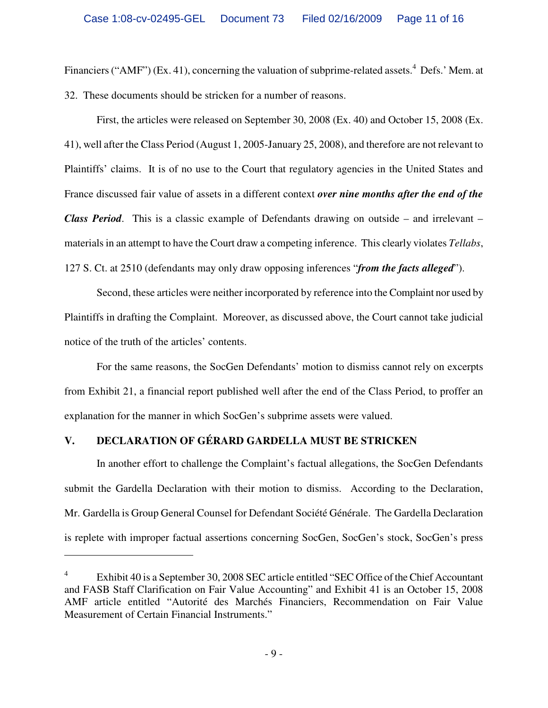Financiers ("AMF") (Ex. 41), concerning the valuation of subprime-related assets.<sup>4</sup> Defs.' Mem. at 32. These documents should be stricken for a number of reasons.

First, the articles were released on September 30, 2008 (Ex. 40) and October 15, 2008 (Ex. 41), well after the Class Period (August 1, 2005-January 25, 2008), and therefore are not relevant to Plaintiffs' claims. It is of no use to the Court that regulatory agencies in the United States and France discussed fair value of assets in a different context *over nine months after the end of the Class Period*. This is a classic example of Defendants drawing on outside – and irrelevant – materials in an attempt to have the Court draw a competing inference. This clearly violates *Tellabs*, 127 S. Ct. at 2510 (defendants may only draw opposing inferences "*from the facts alleged*").

Second, these articles were neither incorporated by reference into the Complaint nor used by Plaintiffs in drafting the Complaint. Moreover, as discussed above, the Court cannot take judicial notice of the truth of the articles' contents.

For the same reasons, the SocGen Defendants' motion to dismiss cannot rely on excerpts from Exhibit 21, a financial report published well after the end of the Class Period, to proffer an explanation for the manner in which SocGen's subprime assets were valued.

# **V. DECLARATION OF GÉRARD GARDELLA MUST BE STRICKEN**

<u>.</u>

In another effort to challenge the Complaint's factual allegations, the SocGen Defendants submit the Gardella Declaration with their motion to dismiss. According to the Declaration, Mr. Gardella is Group General Counsel for Defendant Société Générale. The Gardella Declaration is replete with improper factual assertions concerning SocGen, SocGen's stock, SocGen's press

<sup>4</sup> Exhibit 40 is a September 30, 2008 SEC article entitled "SEC Office of the Chief Accountant and FASB Staff Clarification on Fair Value Accounting" and Exhibit 41 is an October 15, 2008 AMF article entitled "Autorité des Marchés Financiers, Recommendation on Fair Value Measurement of Certain Financial Instruments."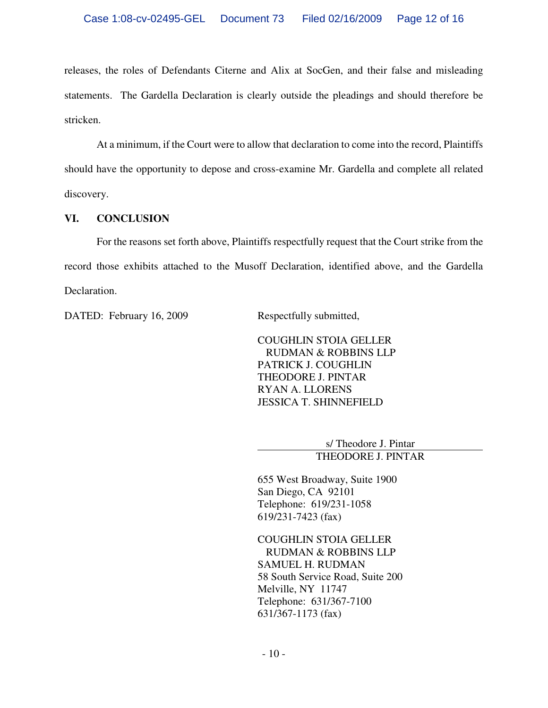releases, the roles of Defendants Citerne and Alix at SocGen, and their false and misleading statements. The Gardella Declaration is clearly outside the pleadings and should therefore be stricken.

At a minimum, if the Court were to allow that declaration to come into the record, Plaintiffs should have the opportunity to depose and cross-examine Mr. Gardella and complete all related discovery.

## **VI. CONCLUSION**

For the reasons set forth above, Plaintiffs respectfully request that the Court strike from the record those exhibits attached to the Musoff Declaration, identified above, and the Gardella Declaration.

DATED: February 16, 2009 Respectfully submitted,

COUGHLIN STOIA GELLER RUDMAN & ROBBINS LLP PATRICK J. COUGHLIN THEODORE J. PINTAR RYAN A. LLORENS JESSICA T. SHINNEFIELD

> s/ Theodore J. Pintar THEODORE J. PINTAR

655 West Broadway, Suite 1900 San Diego, CA 92101 Telephone: 619/231-1058 619/231-7423 (fax)

COUGHLIN STOIA GELLER RUDMAN & ROBBINS LLP SAMUEL H. RUDMAN 58 South Service Road, Suite 200 Melville, NY 11747 Telephone: 631/367-7100 631/367-1173 (fax)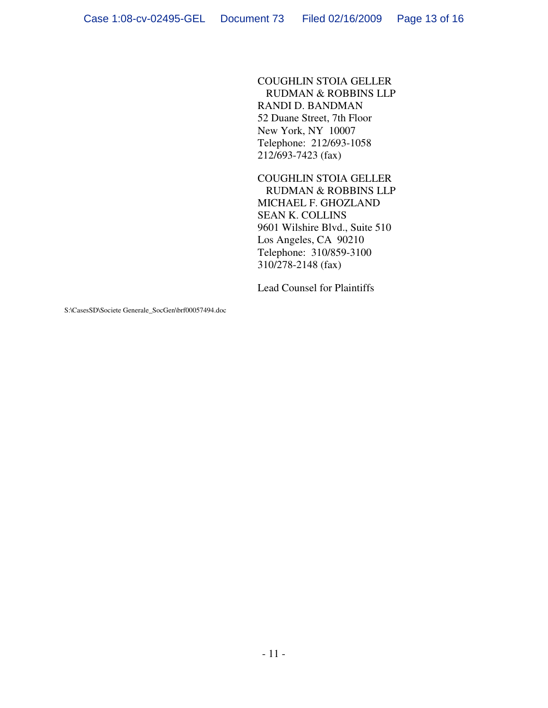COUGHLIN STOIA GELLER RUDMAN & ROBBINS LLP RANDI D. BANDMAN 52 Duane Street, 7th Floor New York, NY 10007 Telephone: 212/693-1058 212/693-7423 (fax)

COUGHLIN STOIA GELLER RUDMAN & ROBBINS LLP MICHAEL F. GHOZLAND SEAN K. COLLINS 9601 Wilshire Blvd., Suite 510 Los Angeles, CA 90210 Telephone: 310/859-3100 310/278-2148 (fax)

Lead Counsel for Plaintiffs

S:\CasesSD\Societe Generale\_SocGen\brf00057494.doc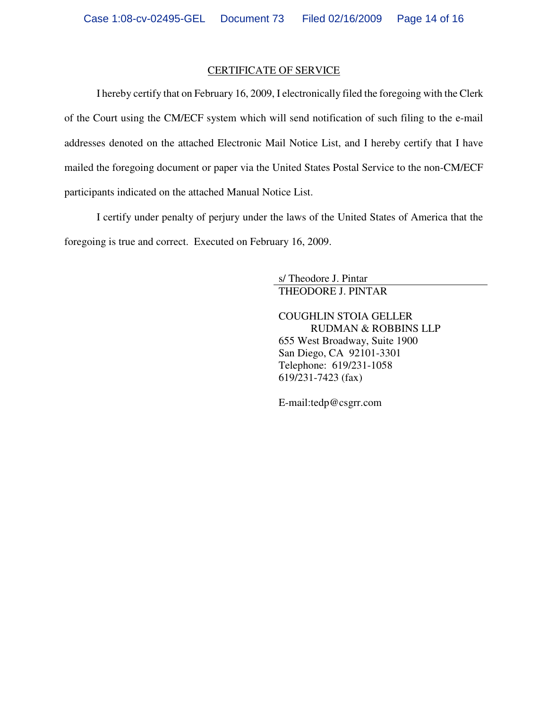## CERTIFICATE OF SERVICE

I hereby certify that on February 16, 2009, I electronically filed the foregoing with the Clerk of the Court using the CM/ECF system which will send notification of such filing to the e-mail addresses denoted on the attached Electronic Mail Notice List, and I hereby certify that I have mailed the foregoing document or paper via the United States Postal Service to the non-CM/ECF participants indicated on the attached Manual Notice List.

I certify under penalty of perjury under the laws of the United States of America that the foregoing is true and correct. Executed on February 16, 2009.

> s/ Theodore J. Pintar THEODORE J. PINTAR

COUGHLIN STOIA GELLER RUDMAN & ROBBINS LLP 655 West Broadway, Suite 1900 San Diego, CA 92101-3301 Telephone: 619/231-1058 619/231-7423 (fax)

E-mail:tedp@csgrr.com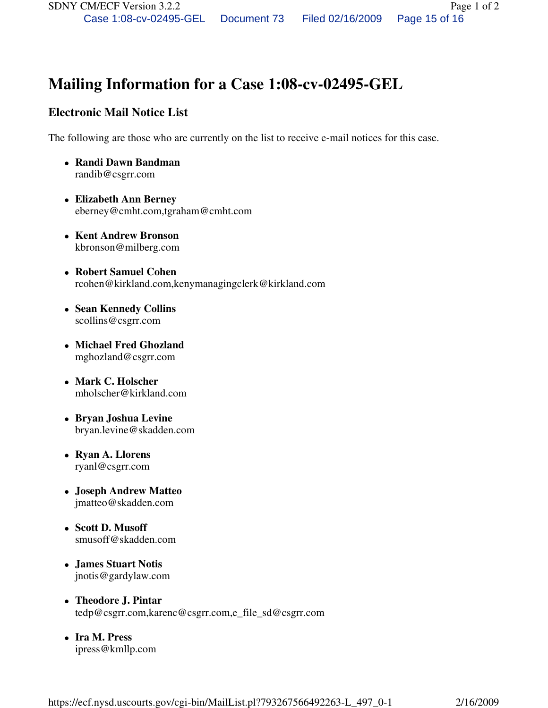# **Mailing Information for a Case 1:08-cv-02495-GEL**

# **Electronic Mail Notice List**

The following are those who are currently on the list to receive e-mail notices for this case.

- **Randi Dawn Bandman**  randib@csgrr.com
- **Elizabeth Ann Berney**  eberney@cmht.com,tgraham@cmht.com
- **Kent Andrew Bronson**  kbronson@milberg.com
- **Robert Samuel Cohen**  rcohen@kirkland.com,kenymanagingclerk@kirkland.com
- **Sean Kennedy Collins**  scollins@csgrr.com
- **Michael Fred Ghozland**  mghozland@csgrr.com
- **Mark C. Holscher**  mholscher@kirkland.com
- **Bryan Joshua Levine**  bryan.levine@skadden.com
- **Ryan A. Llorens**  ryanl@csgrr.com
- **Joseph Andrew Matteo**  jmatteo@skadden.com
- **Scott D. Musoff**  smusoff@skadden.com
- **James Stuart Notis**  jnotis@gardylaw.com
- **Theodore J. Pintar**  tedp@csgrr.com,karenc@csgrr.com,e\_file\_sd@csgrr.com
- **Ira M. Press**  ipress@kmllp.com